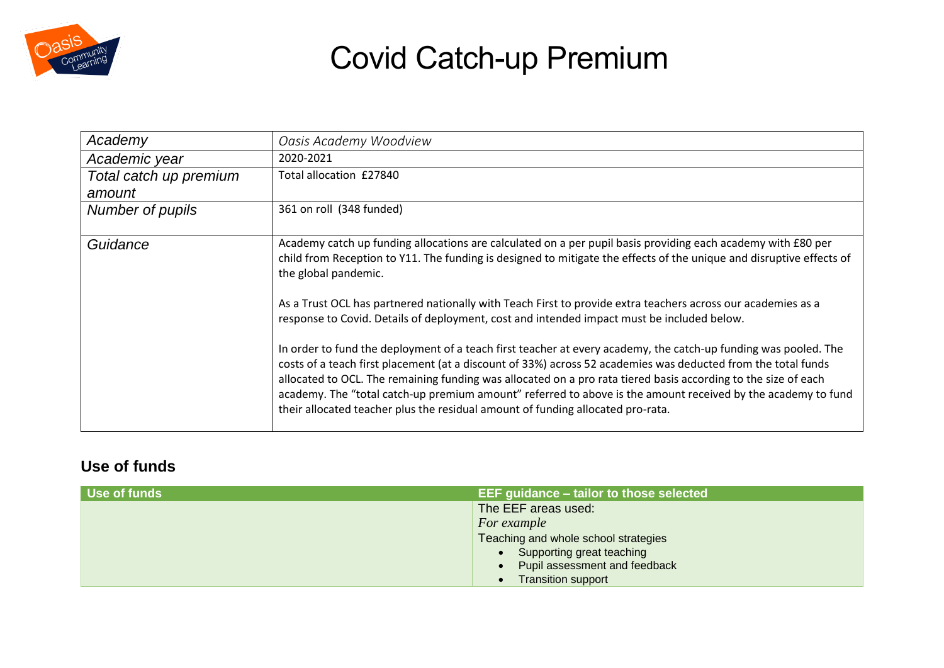

| Academy                | Oasis Academy Woodview                                                                                                                                                                                                                                                                                                                                                                                                                                                                                                                                |
|------------------------|-------------------------------------------------------------------------------------------------------------------------------------------------------------------------------------------------------------------------------------------------------------------------------------------------------------------------------------------------------------------------------------------------------------------------------------------------------------------------------------------------------------------------------------------------------|
| Academic year          | 2020-2021                                                                                                                                                                                                                                                                                                                                                                                                                                                                                                                                             |
| Total catch up premium | Total allocation £27840                                                                                                                                                                                                                                                                                                                                                                                                                                                                                                                               |
| amount                 |                                                                                                                                                                                                                                                                                                                                                                                                                                                                                                                                                       |
| Number of pupils       | 361 on roll (348 funded)                                                                                                                                                                                                                                                                                                                                                                                                                                                                                                                              |
| Guidance               | Academy catch up funding allocations are calculated on a per pupil basis providing each academy with £80 per<br>child from Reception to Y11. The funding is designed to mitigate the effects of the unique and disruptive effects of<br>the global pandemic.                                                                                                                                                                                                                                                                                          |
|                        | As a Trust OCL has partnered nationally with Teach First to provide extra teachers across our academies as a<br>response to Covid. Details of deployment, cost and intended impact must be included below.                                                                                                                                                                                                                                                                                                                                            |
|                        | In order to fund the deployment of a teach first teacher at every academy, the catch-up funding was pooled. The<br>costs of a teach first placement (at a discount of 33%) across 52 academies was deducted from the total funds<br>allocated to OCL. The remaining funding was allocated on a pro rata tiered basis according to the size of each<br>academy. The "total catch-up premium amount" referred to above is the amount received by the academy to fund<br>their allocated teacher plus the residual amount of funding allocated pro-rata. |

#### **Use of funds**

| Use of funds | EEF guidance - tailor to those selected |
|--------------|-----------------------------------------|
|              | The EEF areas used:                     |
|              | For example                             |
|              | Teaching and whole school strategies    |
|              | • Supporting great teaching             |
|              | Pupil assessment and feedback           |
|              | <b>Transition support</b>               |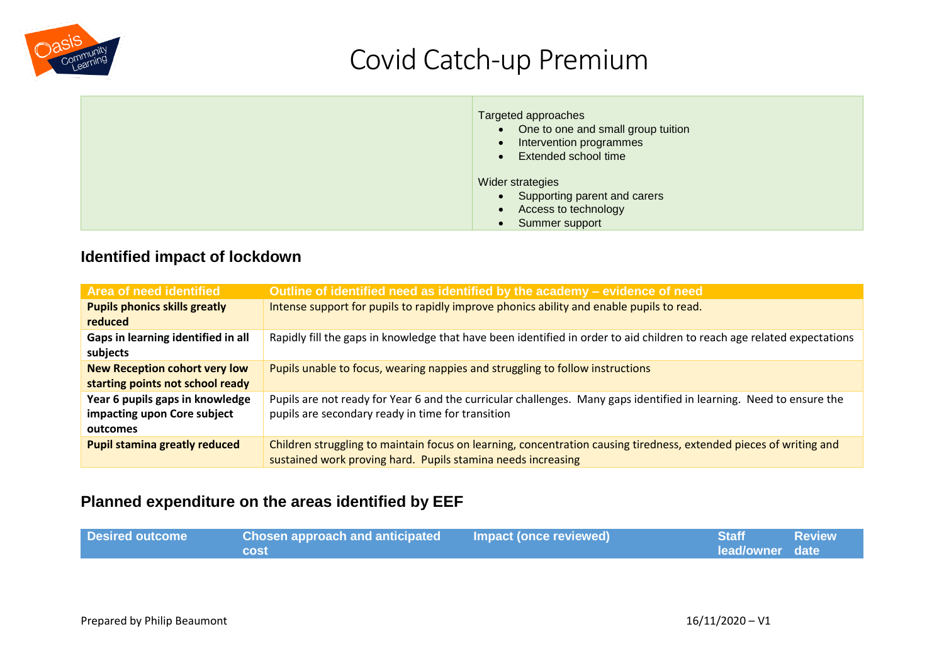

| Targeted approaches<br>• One to one and small group tuition<br>Intervention programmes<br>$\bullet$<br>Extended school time<br>$\bullet$ |
|------------------------------------------------------------------------------------------------------------------------------------------|
| Wider strategies<br>Supporting parent and carers<br>$\bullet$<br>Access to technology<br>$\bullet$<br>Summer support                     |

#### **Identified impact of lockdown**

| Area of need identified              | Outline of identified need as identified by the academy - evidence of need                                              |
|--------------------------------------|-------------------------------------------------------------------------------------------------------------------------|
| <b>Pupils phonics skills greatly</b> | Intense support for pupils to rapidly improve phonics ability and enable pupils to read.                                |
| reduced                              |                                                                                                                         |
| Gaps in learning identified in all   | Rapidly fill the gaps in knowledge that have been identified in order to aid children to reach age related expectations |
| subjects                             |                                                                                                                         |
| <b>New Reception cohort very low</b> | Pupils unable to focus, wearing nappies and struggling to follow instructions                                           |
| starting points not school ready     |                                                                                                                         |
| Year 6 pupils gaps in knowledge      | Pupils are not ready for Year 6 and the curricular challenges. Many gaps identified in learning. Need to ensure the     |
| impacting upon Core subject          | pupils are secondary ready in time for transition                                                                       |
| outcomes                             |                                                                                                                         |
| <b>Pupil stamina greatly reduced</b> | Children struggling to maintain focus on learning, concentration causing tiredness, extended pieces of writing and      |
|                                      | sustained work proving hard. Pupils stamina needs increasing                                                            |

#### **Planned expenditure on the areas identified by EEF**

| <b>Desired outcome</b> | <b>Chosen approach and anticipated</b> | Impact (once reviewed) | <b>Staff</b>    | <b>Review</b> |
|------------------------|----------------------------------------|------------------------|-----------------|---------------|
|                        | <b>cost</b>                            |                        | lead/owner date |               |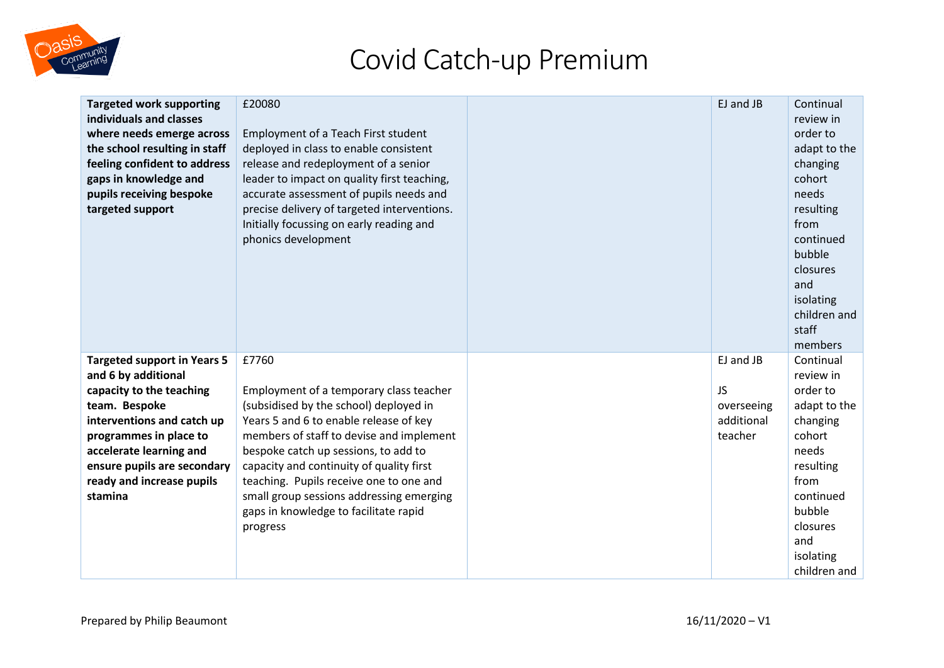

| <b>Targeted work supporting</b><br>individuals and classes<br>where needs emerge across<br>the school resulting in staff<br>feeling confident to address<br>gaps in knowledge and<br>pupils receiving bespoke<br>targeted support                                | £20080<br>Employment of a Teach First student<br>deployed in class to enable consistent<br>release and redeployment of a senior<br>leader to impact on quality first teaching,<br>accurate assessment of pupils needs and<br>precise delivery of targeted interventions.<br>Initially focussing on early reading and<br>phonics development                                                                      | EJ and JB                                                     | Continual<br>review in<br>order to<br>adapt to the<br>changing<br>cohort<br>needs<br>resulting<br>from<br>continued<br>bubble<br>closures<br>and<br>isolating<br>children and<br>staff<br>members |
|------------------------------------------------------------------------------------------------------------------------------------------------------------------------------------------------------------------------------------------------------------------|------------------------------------------------------------------------------------------------------------------------------------------------------------------------------------------------------------------------------------------------------------------------------------------------------------------------------------------------------------------------------------------------------------------|---------------------------------------------------------------|---------------------------------------------------------------------------------------------------------------------------------------------------------------------------------------------------|
| <b>Targeted support in Years 5</b><br>and 6 by additional<br>capacity to the teaching<br>team. Bespoke<br>interventions and catch up<br>programmes in place to<br>accelerate learning and<br>ensure pupils are secondary<br>ready and increase pupils<br>stamina | £7760<br>Employment of a temporary class teacher<br>(subsidised by the school) deployed in<br>Years 5 and 6 to enable release of key<br>members of staff to devise and implement<br>bespoke catch up sessions, to add to<br>capacity and continuity of quality first<br>teaching. Pupils receive one to one and<br>small group sessions addressing emerging<br>gaps in knowledge to facilitate rapid<br>progress | EJ and JB<br><b>JS</b><br>overseeing<br>additional<br>teacher | Continual<br>review in<br>order to<br>adapt to the<br>changing<br>cohort<br>needs<br>resulting<br>from<br>continued<br>bubble<br>closures<br>and<br>isolating<br>children and                     |